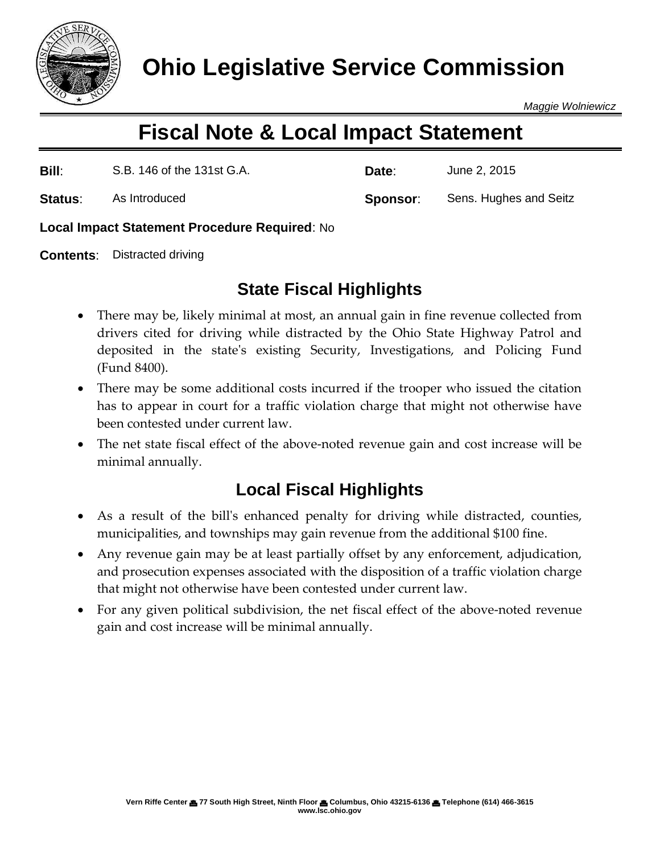

*Maggie Wolniewicz*

# **Fiscal Note & Local Impact Statement**

| Bill: |  | S.B. 146 of the 131st G.A. |  |
|-------|--|----------------------------|--|
|       |  |                            |  |

**Date:** June 2, 2015

**Status:** As Introduced **Sponsor:** Sens. Hughes and Seitz

**Local Impact Statement Procedure Required**: No

**Contents**: Distracted driving

## **State Fiscal Highlights**

- There may be, likely minimal at most, an annual gain in fine revenue collected from drivers cited for driving while distracted by the Ohio State Highway Patrol and deposited in the state's existing Security, Investigations, and Policing Fund (Fund 8400).
- There may be some additional costs incurred if the trooper who issued the citation has to appear in court for a traffic violation charge that might not otherwise have been contested under current law.
- The net state fiscal effect of the above-noted revenue gain and cost increase will be minimal annually.

### **Local Fiscal Highlights**

- As a result of the bill's enhanced penalty for driving while distracted, counties, municipalities, and townships may gain revenue from the additional \$100 fine.
- Any revenue gain may be at least partially offset by any enforcement, adjudication, and prosecution expenses associated with the disposition of a traffic violation charge that might not otherwise have been contested under current law.
- For any given political subdivision, the net fiscal effect of the above-noted revenue gain and cost increase will be minimal annually.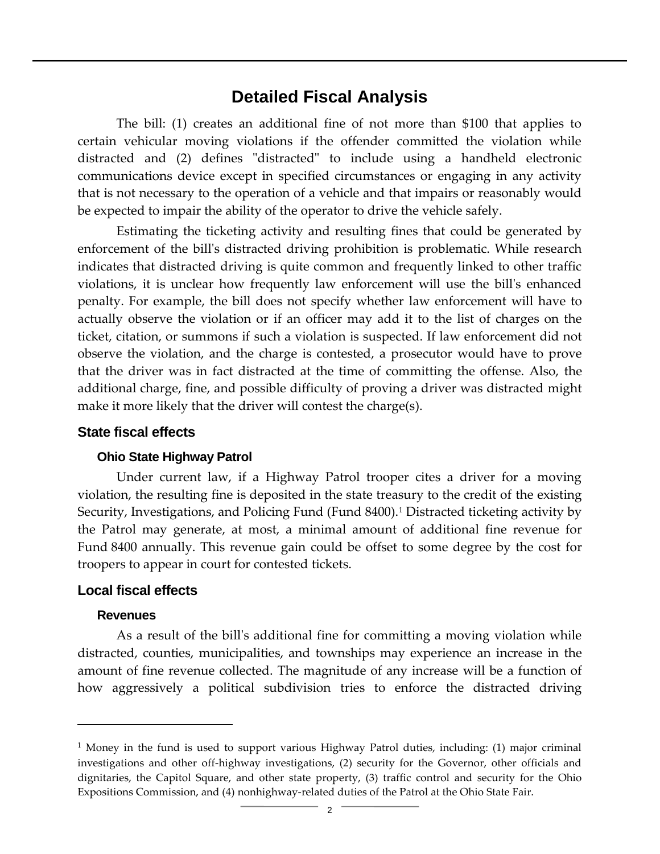### **Detailed Fiscal Analysis**

The bill: (1) creates an additional fine of not more than \$100 that applies to certain vehicular moving violations if the offender committed the violation while distracted and (2) defines "distracted" to include using a handheld electronic communications device except in specified circumstances or engaging in any activity that is not necessary to the operation of a vehicle and that impairs or reasonably would be expected to impair the ability of the operator to drive the vehicle safely.

Estimating the ticketing activity and resulting fines that could be generated by enforcement of the bill's distracted driving prohibition is problematic. While research indicates that distracted driving is quite common and frequently linked to other traffic violations, it is unclear how frequently law enforcement will use the bill's enhanced penalty. For example, the bill does not specify whether law enforcement will have to actually observe the violation or if an officer may add it to the list of charges on the ticket, citation, or summons if such a violation is suspected. If law enforcement did not observe the violation, and the charge is contested, a prosecutor would have to prove that the driver was in fact distracted at the time of committing the offense. Also, the additional charge, fine, and possible difficulty of proving a driver was distracted might make it more likely that the driver will contest the charge(s).

#### **State fiscal effects**

#### **Ohio State Highway Patrol**

Under current law, if a Highway Patrol trooper cites a driver for a moving violation, the resulting fine is deposited in the state treasury to the credit of the existing Security, Investigations, and Policing Fund (Fund 8400).<sup>1</sup> Distracted ticketing activity by the Patrol may generate, at most, a minimal amount of additional fine revenue for Fund 8400 annually. This revenue gain could be offset to some degree by the cost for troopers to appear in court for contested tickets.

#### **Local fiscal effects**

#### **Revenues**

 $\overline{a}$ 

As a result of the bill's additional fine for committing a moving violation while distracted, counties, municipalities, and townships may experience an increase in the amount of fine revenue collected. The magnitude of any increase will be a function of how aggressively a political subdivision tries to enforce the distracted driving

<sup>1</sup> Money in the fund is used to support various Highway Patrol duties, including: (1) major criminal investigations and other off-highway investigations, (2) security for the Governor, other officials and dignitaries, the Capitol Square, and other state property, (3) traffic control and security for the Ohio Expositions Commission, and (4) nonhighway-related duties of the Patrol at the Ohio State Fair.